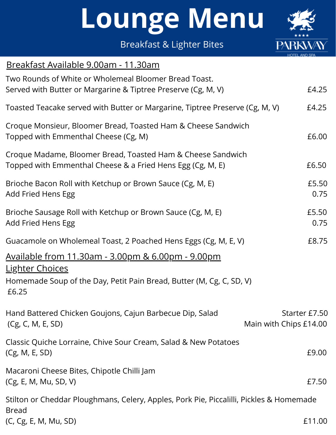Breakfast & Lighter Bites



| Breakfast Available 9.00am - 11.30am                                                                                                                                     |                                         |
|--------------------------------------------------------------------------------------------------------------------------------------------------------------------------|-----------------------------------------|
| Two Rounds of White or Wholemeal Bloomer Bread Toast.<br>Served with Butter or Margarine & Tiptree Preserve (Cg, M, V)                                                   | £4.25                                   |
| Toasted Teacake served with Butter or Margarine, Tiptree Preserve (Cg, M, V)                                                                                             | £4.25                                   |
| Croque Monsieur, Bloomer Bread, Toasted Ham & Cheese Sandwich<br>Topped with Emmenthal Cheese (Cg, M)                                                                    | £6.00                                   |
| Croque Madame, Bloomer Bread, Toasted Ham & Cheese Sandwich<br>Topped with Emmenthal Cheese & a Fried Hens Egg (Cg, M, E)                                                | £6.50                                   |
| Brioche Bacon Roll with Ketchup or Brown Sauce (Cg, M, E)<br>Add Fried Hens Egg                                                                                          | £5.50<br>0.75                           |
| Brioche Sausage Roll with Ketchup or Brown Sauce (Cg, M, E)<br>Add Fried Hens Egg                                                                                        | £5.50<br>0.75                           |
| Guacamole on Wholemeal Toast, 2 Poached Hens Eggs (Cg, M, E, V)                                                                                                          | £8.75                                   |
| <u> Available from 11.30am - 3.00pm &amp; 6.00pm - 9.00pm</u><br><b>Lighter Choices</b><br>Homemade Soup of the Day, Petit Pain Bread, Butter (M, Cg, C, SD, V)<br>£6.25 |                                         |
| Hand Battered Chicken Goujons, Cajun Barbecue Dip, Salad<br>(Cg, C, M, E, SD)                                                                                            | Starter £7.50<br>Main with Chips £14.00 |
| Classic Quiche Lorraine, Chive Sour Cream, Salad & New Potatoes<br>(Cg, M, E, SD)                                                                                        | £9.00                                   |
| Macaroni Cheese Bites, Chipotle Chilli Jam<br>(Cg, E, M, Mu, SD, V)                                                                                                      | £7.50                                   |
| Stilton or Cheddar Ploughmans, Celery, Apples, Pork Pie, Piccalilli, Pickles & Homemade                                                                                  |                                         |
| <b>Bread</b><br>(C, Cg, E, M, Mu, SD)                                                                                                                                    | £11.00                                  |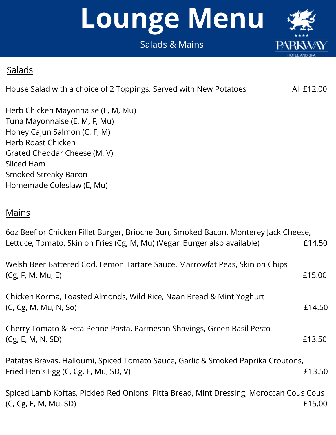#### Salads & Mains

#### **Salads**

House Salad with a choice of 2 Toppings. Served with New Potatoes All £12.00

Herb Chicken Mayonnaise (E, M, Mu) Tuna Mayonnaise (E, M, F, Mu) Honey Cajun Salmon (C, F, M) Herb Roast Chicken Grated Cheddar Cheese (M, V) Sliced Ham Smoked Streaky Bacon Homemade Coleslaw (E, Mu)

#### **Mains**

| 60z Beef or Chicken Fillet Burger, Brioche Bun, Smoked Bacon, Monterey Jack Cheese,                                       |        |
|---------------------------------------------------------------------------------------------------------------------------|--------|
| Lettuce, Tomato, Skin on Fries (Cg, M, Mu) (Vegan Burger also available)                                                  | £14.50 |
| Welsh Beer Battered Cod, Lemon Tartare Sauce, Marrowfat Peas, Skin on Chips<br>(Cg, F, M, Mu, E)                          | £15.00 |
| Chicken Korma, Toasted Almonds, Wild Rice, Naan Bread & Mint Yoghurt<br>(C, Cg, M, Mu, N, So)                             | £14.50 |
| Cherry Tomato & Feta Penne Pasta, Parmesan Shavings, Green Basil Pesto<br>(Cg, E, M, N, SD)                               | £13.50 |
| Patatas Bravas, Halloumi, Spiced Tomato Sauce, Garlic & Smoked Paprika Croutons,<br>Fried Hen's Egg (C, Cg, E, Mu, SD, V) | £13.50 |
| Spiced Lamb Koftas, Pickled Red Onions, Pitta Bread, Mint Dressing, Moroccan Cous Cous<br>(C, Cg, E, M, Mu, SD)           | £15.00 |

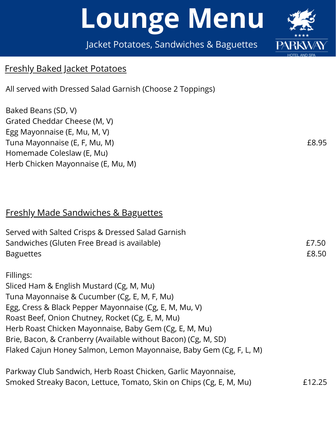Jacket Potatoes, Sandwiches & Baguettes

#### **B R E A K F A S T M E N U** Freshly Baked Jacket Potatoes

All served with Dressed Salad Garnish (Choose 2 Toppings)

Baked Beans (SD, V) Grated Cheddar Cheese (M, V) Egg Mayonnaise (E, Mu, M, V) Tuna Mayonnaise (E, F, Mu, M) E8.95 Homemade Coleslaw (E, Mu) Herb Chicken Mayonnaise (E, Mu, M)

#### Freshly Made Sandwiches & Baguettes

| Served with Salted Crisps & Dressed Salad Garnish                   |        |
|---------------------------------------------------------------------|--------|
| Sandwiches (Gluten Free Bread is available)                         | £7.50  |
| <b>Baguettes</b>                                                    | £8.50  |
| Fillings:                                                           |        |
| Sliced Ham & English Mustard (Cg, M, Mu)                            |        |
| Tuna Mayonnaise & Cucumber (Cg, E, M, F, Mu)                        |        |
| Egg, Cress & Black Pepper Mayonnaise (Cg, E, M, Mu, V)              |        |
| Roast Beef, Onion Chutney, Rocket (Cg, E, M, Mu)                    |        |
| Herb Roast Chicken Mayonnaise, Baby Gem (Cg, E, M, Mu)              |        |
| Brie, Bacon, & Cranberry (Available without Bacon) (Cg, M, SD)      |        |
| Flaked Cajun Honey Salmon, Lemon Mayonnaise, Baby Gem (Cg, F, L, M) |        |
| Parkway Club Sandwich, Herb Roast Chicken, Garlic Mayonnaise,       |        |
| Smoked Streaky Bacon, Lettuce, Tomato, Skin on Chips (Cg, E, M, Mu) | £12.25 |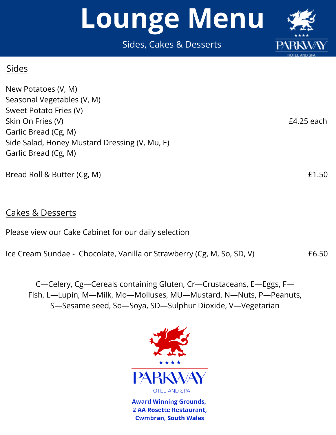Sides, Cakes & Desserts

#### **Sides**

New Potatoes (V, M) Seasonal Vegetables (V, M) Sweet Potato Fries (V) Skin On Fries (V) E4.25 each Garlic Bread (Cg, M) Side Salad, Honey Mustard Dressing (V, Mu, E) Garlic Bread (Cg, M)

Bread Roll & Butter (Cg, M) E1.50

#### Cakes & Desserts

Please view our Cake Cabinet for our daily selection

Ice Cream Sundae - Chocolate, Vanilla or Strawberry (Cg, M, So, SD, V) 66.50

C—Celery, Cg—Cereals containing Gluten, Cr—Crustaceans, E—Eggs, F— Fish, L—Lupin, M—Milk, Mo—Molluses, MU—Mustard, N—Nuts, P—Peanuts, S—Sesame seed, So—Soya, SD—Sulphur Dioxide, V—Vegetarian